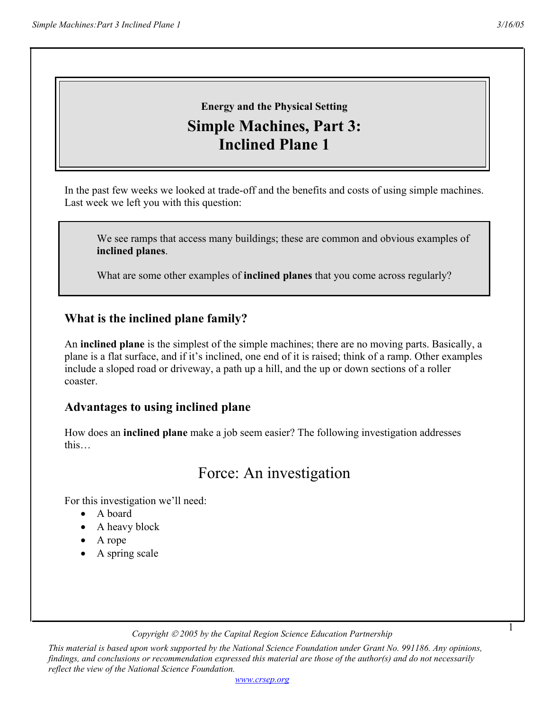1

# **Energy and the Physical Setting Simple Machines, Part 3: Inclined Plane 1**

In the past few weeks we looked at trade-off and the benefits and costs of using simple machines. Last week we left you with this question:

We see ramps that access many buildings; these are common and obvious examples of **inclined planes**.

What are some other examples of **inclined planes** that you come across regularly?

### **What is the inclined plane family?**

An **inclined plane** is the simplest of the simple machines; there are no moving parts. Basically, a plane is a flat surface, and if it's inclined, one end of it is raised; think of a ramp. Other examples include a sloped road or driveway, a path up a hill, and the up or down sections of a roller coaster.

### **Advantages to using inclined plane**

How does an **inclined plane** make a job seem easier? The following investigation addresses this…

## Force: An investigation

For this investigation we'll need:

- A board
- A heavy block
- A rope
- A spring scale

*Copyright 2005 by the Capital Region Science Education Partnership* 

*This material is based upon work supported by the National Science Foundation under Grant No. 991186. Any opinions, findings, and conclusions or recommendation expressed this material are those of the author(s) and do not necessarily reflect the view of the National Science Foundation.*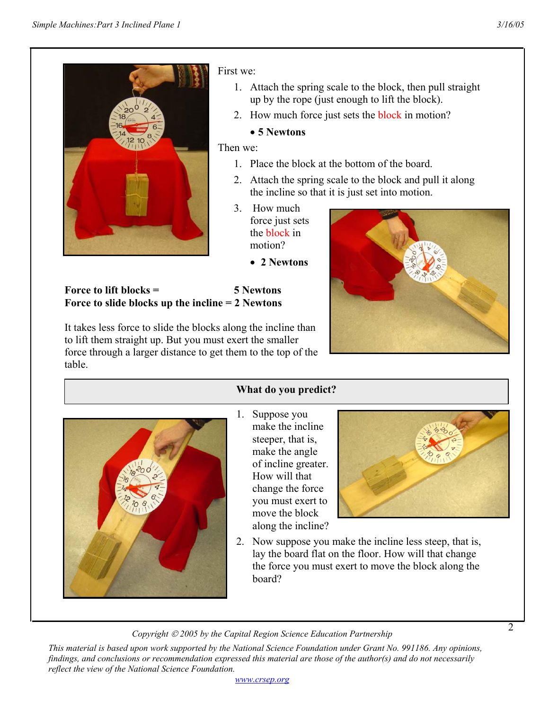

First we:

- 1. Attach the spring scale to the block, then pull straight up by the rope (just enough to lift the block).
- 2. How much force just sets the **block** in motion?

### • **5 Newtons**

Then we:

- 1. Place the block at the bottom of the board.
- 2. Attach the spring scale to the block and pull it along the incline so that it is just set into motion.
- 3. How much force just sets the block in motion?
	- **2 Newtons**

**Force to lift blocks = 5 Newtons Force to slide blocks up the incline = 2 Newtons** 

It takes less force to slide the blocks along the incline than to lift them straight up. But you must exert the smaller force through a larger distance to get them to the top of the table.



### **What do you predict?**

- 
- 1. Suppose you make the incline steeper, that is, make the angle of incline greater. How will that change the force you must exert to move the block along the incline?



2. Now suppose you make the incline less steep, that is, lay the board flat on the floor. How will that change the force you must exert to move the block along the board?

*Copyright 2005 by the Capital Region Science Education Partnership* 

*This material is based upon work supported by the National Science Foundation under Grant No. 991186. Any opinions, findings, and conclusions or recommendation expressed this material are those of the author(s) and do not necessarily reflect the view of the National Science Foundation.*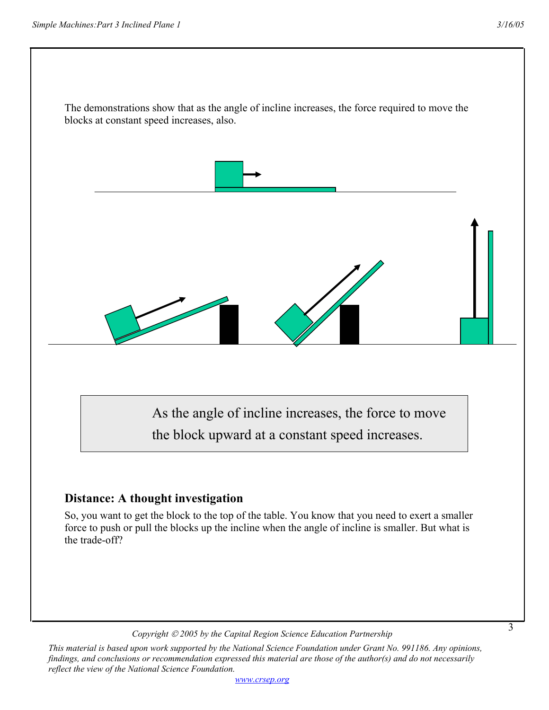

*This material is based upon work supported by the National Science Foundation under Grant No. 991186. Any opinions, findings, and conclusions or recommendation expressed this material are those of the author(s) and do not necessarily reflect the view of the National Science Foundation.*